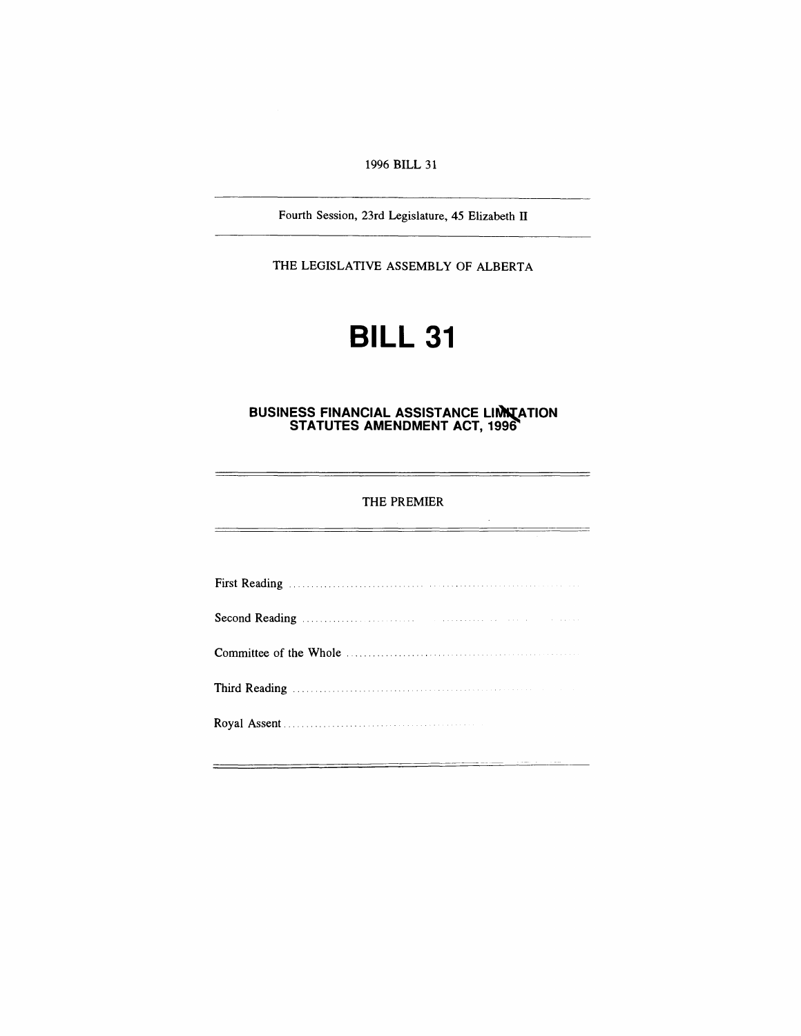### *1996 BILL 31*

*Fourth Session, 23rd Legislature, 45 Elizabeth II*

*THE LEGISLATIVE ASSEMBLY OF ALBERTA*

# *BILL 31*

#### *BUSINESS FINANCIAL ASSISTANCE LIMITATION STATUTES AMENDMENT ACT, 1996*

#### *THE PREMIER*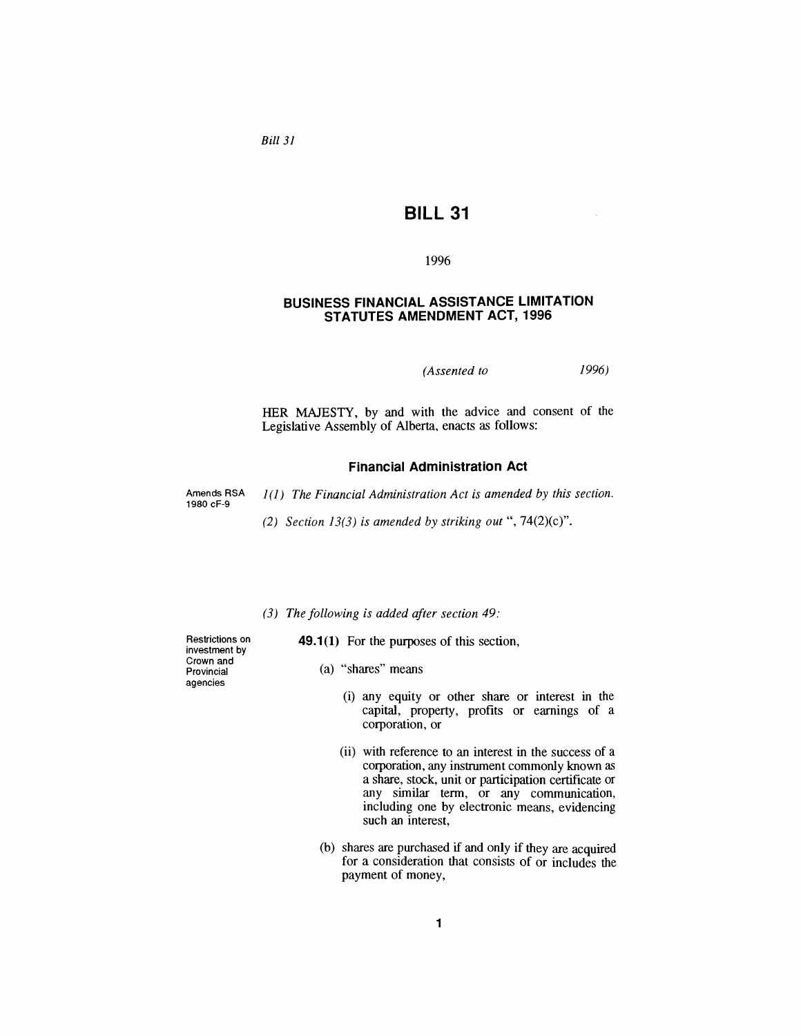*Bill 31*

# *BILL 31*

#### *1996*

#### *BUSINESS FINANCIAL ASSISTANCE LIMITATION STATUTES AMENDMENT ACT, 1996*

*(Assented to 1996)*

*HER MAJESTY, by and with the advice and consent of the Legislative Assembly of Alberta, enacts as follows:*

#### *Financial Administration Act*

*Amends RSA 1980 cF-9*

*1(1) The Financial Administration Act is amended by this section.*

*(2) Section 13(3) is amended by striking out "7,4(2)(c)".*

*(3) The following is added after section 49:*

*49.1(1) For the purposes of this section,*

- *Restrictions on investment by Crown and Provincial agencies*
- *(a) "shares" means*
	- *(i) any equity or other share or interest in the capital, property, profits or earnings of a corporation, or*
	- *(ii) with reference to an interest in the success of a corporation, any instrument commonly known as a share, stock, unit or participation certificate or any similar term, or any communication, including one by electronic means, evidencing such an interest,*
- *(b) shares are purchased if and only if they are acquired for a consideration that consists of or includes the payment of money,*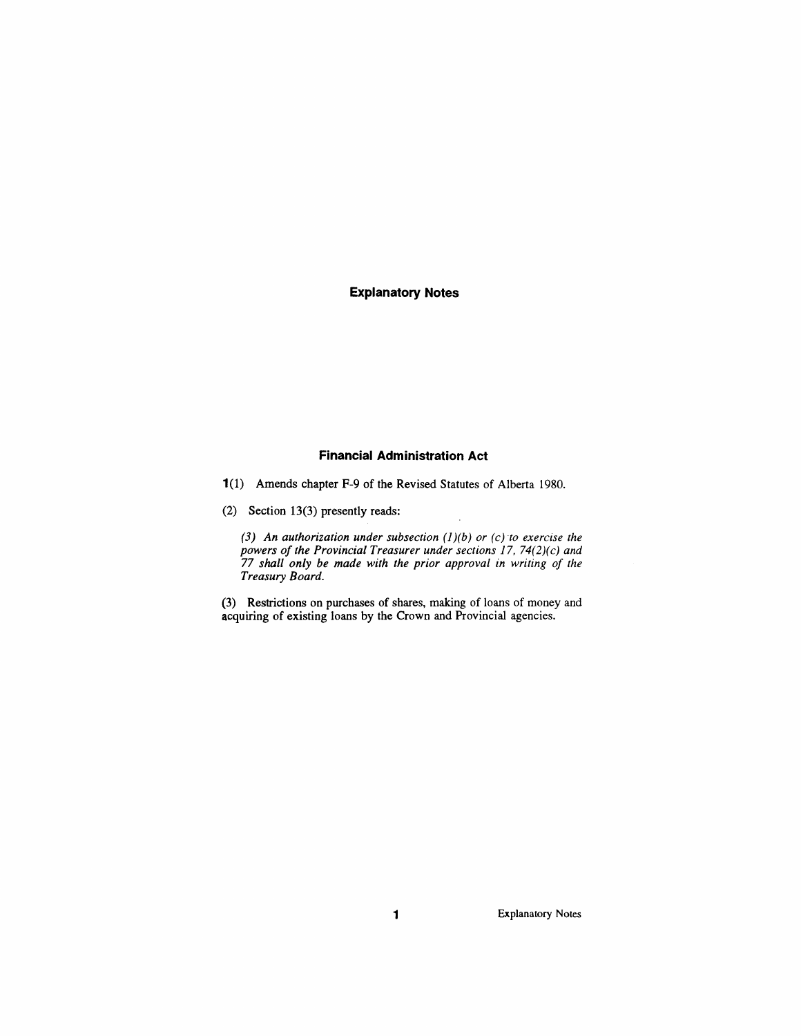#### *Explanatory Notes*

#### *Financial Administration Act*

*1(1) Amends chapter F-9 of the Revised Statutes of Alberta 1980.*

*(2) Section 13(3) presently reads:*

*(3) An authorization under subsection (1)(b) or (c) to exercise the powers ofthe Provincial Treasurer under sections 17, 74(2)(c) and 77 shall only be made with the prior approval in writing of the Treasury Board.*

*(3) Restrictions on purchases of shares, making of loans of money and acquiring of existing loans by the Crown and Provincial agencies.*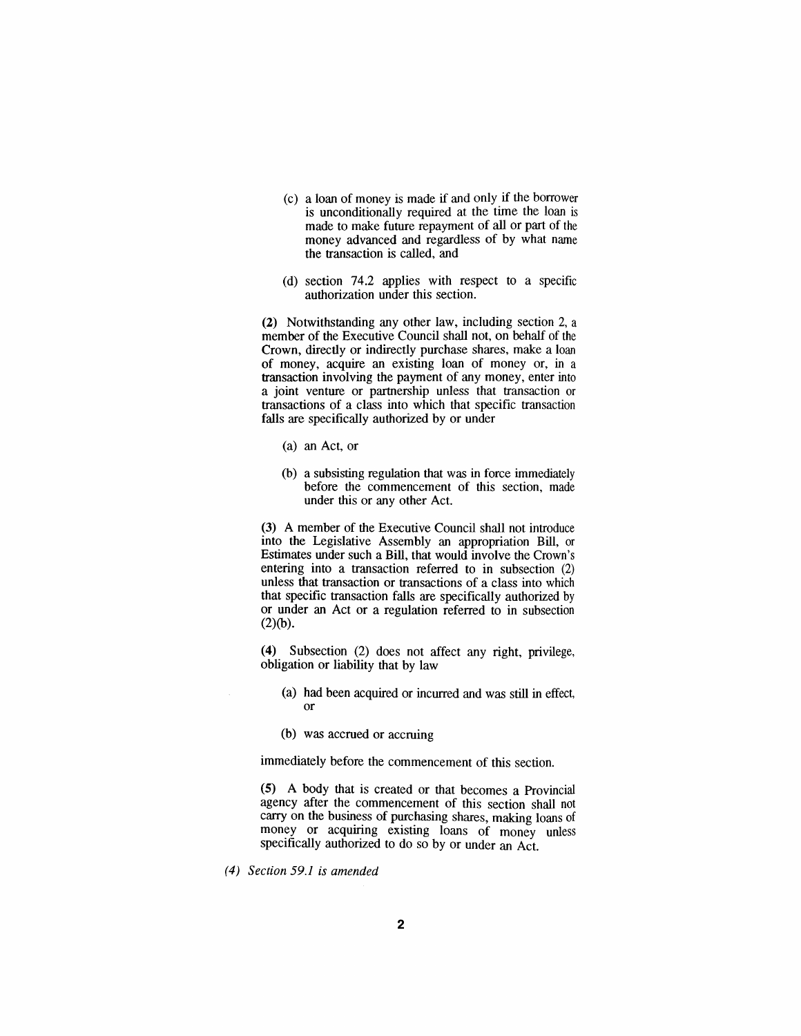- *(c) a loan of money is made if and only if the borrower is unconditionally required at the time the loan is made to make future repayment of all or part of the money advanced and regardless of by what name the transaction is called, and*
- *(d) section 74.2 applies with respect to a specific authorization under this section.*

*(2) Notwithstanding any other law, including section 2, a member of the Executive Council shall not, on behalf of the Crown, directly or indirectly purchase shares, make a loan of money, acquire an existing loan of money or, in a transaction involving the payment of any money, enter into a joint venture or partnership unless that transaction or transactions of a class into which that specific transaction falls are specifically authorized by or under*

- *(a) an Act, or*
- *(b) a subsisting regulation that was in force immediately before the commencement of this section, made under this or any other Act.*

*(3) A member of the Executive Council shall not introduce into the Legislative Assembly an appropriation Bill, or Estimates under such a Bill, that would involve the Crown'<sup>s</sup> entering into a transaction referred to in subsection (2) unless that transaction or transactions of a class into which that specific transaction falls are specifically authorized by or under an Act or a regulation referred to in subsection (2)(b).*

*(4) Subsection (2) does not affect any right, privilege, obligation or liability that by law*

- *(a) had been acquired or incurred and was still in effect, or*
- *(b) was accrued or accruing*

*immediately before the commencement of this section.*

*(5) A body that is created or that becomes a Provincial agency after the commencement of this section shall not carry on the business of purchasing shares, making loans of money or acquiring existing loans of money unless specifically authorized to do so by or under an Act.*

*(4) Section 59.1 is amended*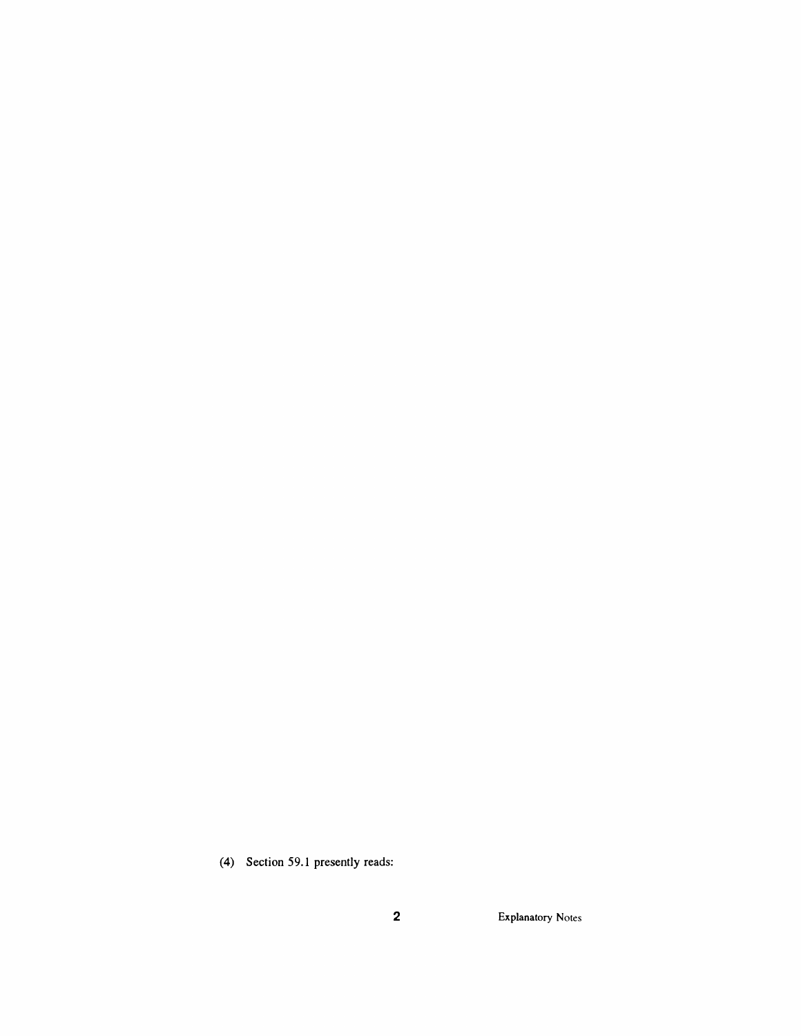*(4) Section 59.1 presently reads:*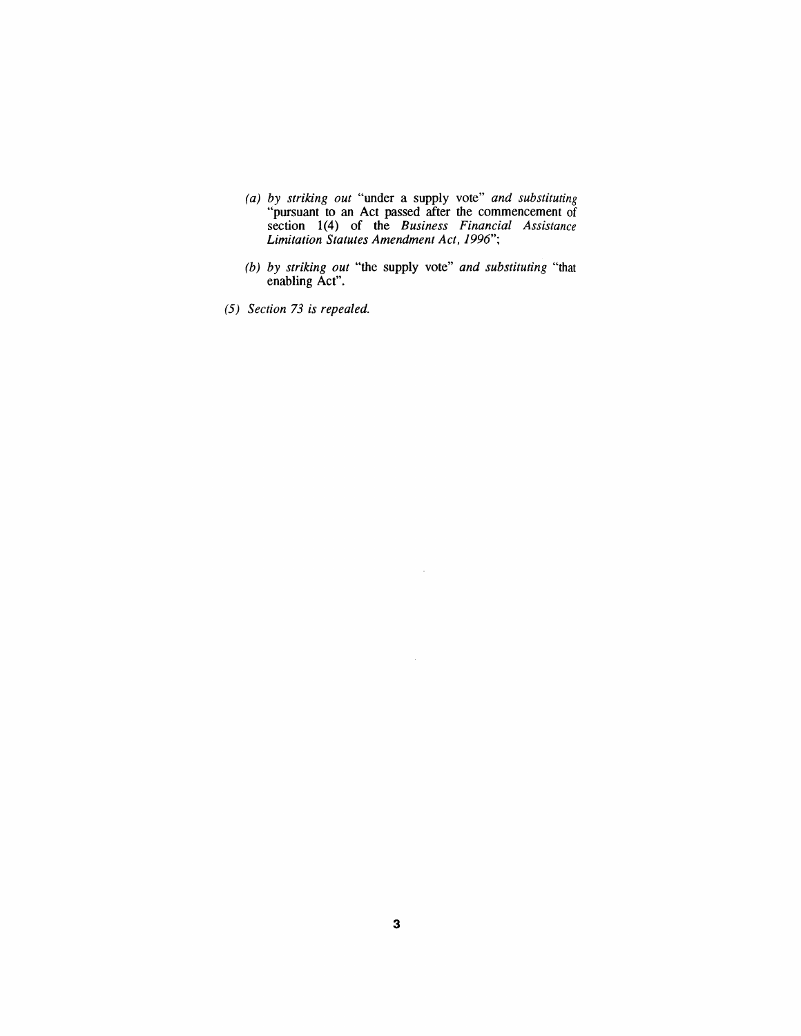- *(a) by striking out "under a supply vote" and substituting "pursuant to an Act passed after the commencement of section 1(4) of the Business Financial Assistance Limitation Statutes Amendment Act, 1996";*
- *(b) by striking out "the supply vote" and substituting "that enabling Act".*

 $\sim$   $\mu$ 

*(5) Section 73 is repealed.*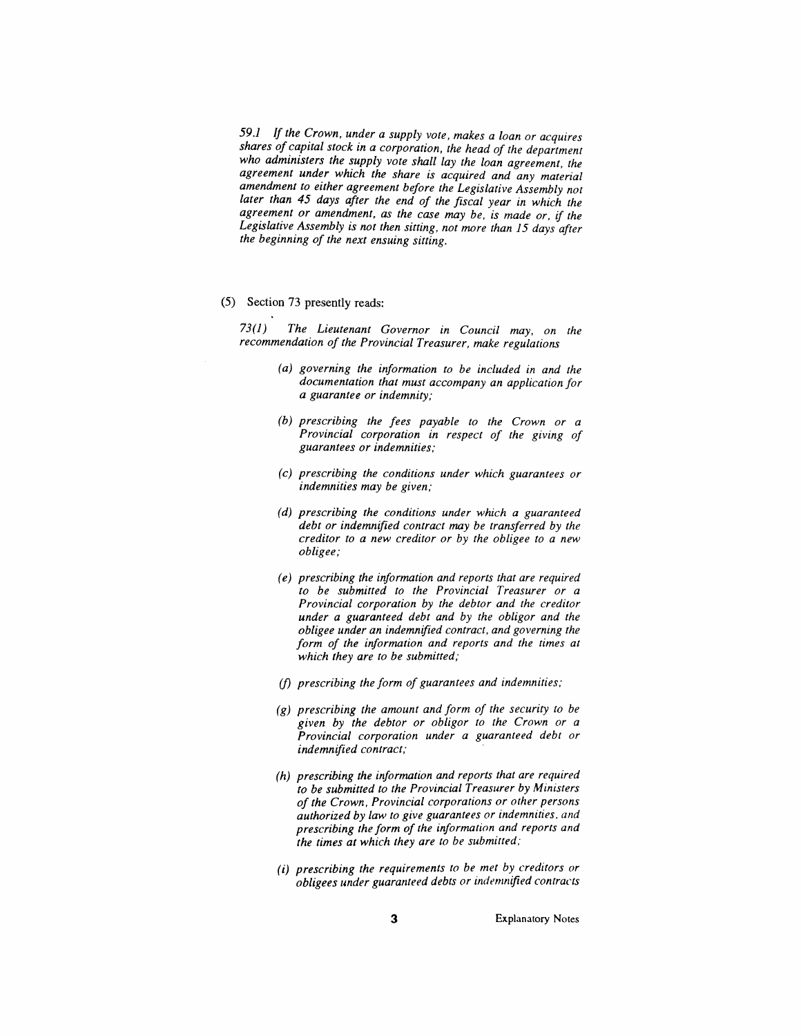*59.1 If the Crown, under a supply vote, makes a loan or acquires shores of capital stock in a corporation, the head of the department who administers the supply vote shall lay the loan agreement, the agreement under which the share is acquired and any material amendment to either agreement before the Legislative Assembly not later than 45 days after the end of the fiscal year in which the agreement or amendment, as the case may be, is made or, if the Legislative Assembly is not then sitting, not more than 15 days after the beginning of the next ensuing sitting.*

*(5) Section 73 presently reads:*

*73(1) The Lieutenant Governor in Council may, on the recommendation of the Provincial Treasurer, make regulations*

- *(a) governing the information to be included in and the documentation that must accompany an application for a guarantee or indemnity;*
- *(b) prescribing the fees payable to the Crown or a Provincial corporation in respect of the giving of guarantees or indemnities;*
- *(c) prescribing the conditions under which guarantees or indemnities may be given;*
- *(d) prescribing the conditions under which a guaranteed debt or indemnified contract may be transferred by the creditor to a new creditor or by the obligee to a new obligee;*
- *(e) prescribing the information and reports that are required to be submitted to the Provincial Treasurer or a Provincial corporation by the debtor and the creditor under a guaranteed debt and by the obligor and the obligee under an indemnified contract, and governing the form of the information and reports and the times at which they are to be submitted;*
- *(f) prescribing the form of guarantees and indemnities;*
- *(g) prescribing the amount and form of the security to be given by the debtor or obligor to the Crown or a Provincial corporation under a guaranteed debt or indemnified contract;*
- *(h) prescribing the information and reports that are required to be submitted to the Provincial Treasurer by Ministers of the Crown, Provincial corporations or other persons authorized by law to give guarantees or indemnities, and prescribing the form of the information and reports and the times at which they are to be submitted;*
- *(i) prescribing the requirements to be met by creditors or obligees under guaranteed debts or indemnified contracts*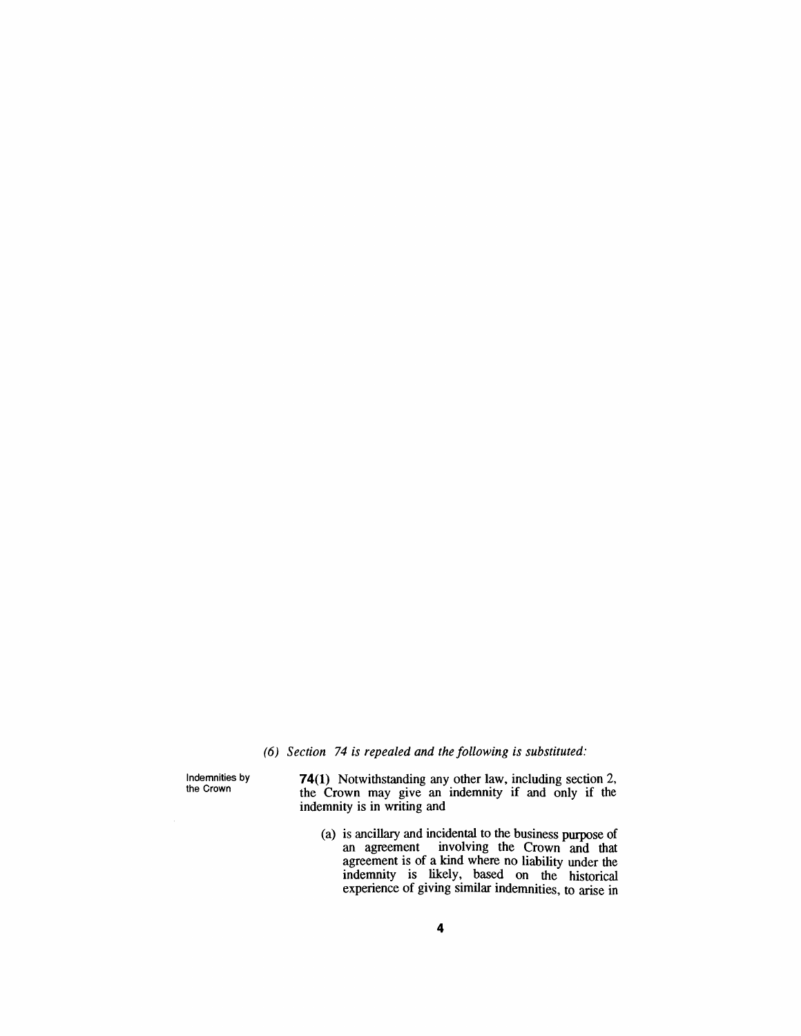### *(6) Section 74 is repealed and the following is substituted:*

*Indemnities by the Crown*

*74(1) Notwithstanding any other law, including section 2, the Crown may give an indemnity if and only if the indemnity is in writing and*

*(a) is ancillary and incidental to the business purpose of an agreement involving the Crown and that agreement is of a kind where no liability under the indemnity is likely, based on the historical experience of giving similar indemnities, to arise in*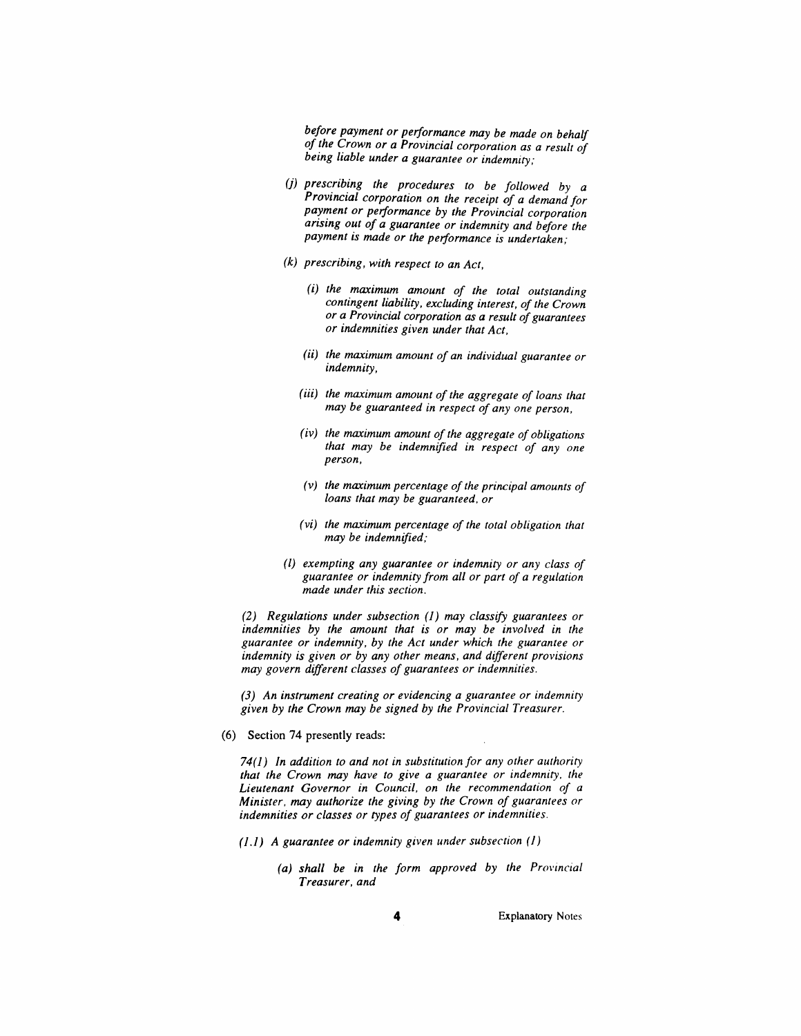*before payment or performance may be made on behalf of the Crown or a Provincial corporation as a result of being liable under a guarantee or indemnity;*

- *(j) prescribing the procedures to be followed by a Provincial corporation on the receipt of a demand for payment or performance by the Provincial corporation arising out of a guarantee or indemnity and before the payment is made or the performance is undertaken;*
- *(k) prescribing, with respect to an Act,*
	- *(i) the maximum amount of the total outstanding contingent liability, excluding interest, of the Crown or a Provincial corporation as a result ofguarantees or indemnities given under that Act,*
	- *(ii) the maximum amount of an individual guarantee or indemnity,*
	- *(iii) the maximum amount of the aggregate of loans that may be guaranteed in respect of any one person,*
	- *(iv) the maximum amount ofthe aggregate of obligations that may be indemnified in respect of any one person,*
	- *(v) the maximum percentage ofthe principal amounts of loans that may be guaranteed, or*
	- *(vi) the maximum percentage of the total obligation that may be indemnified;*
- *(l) exempting any guarantee or indemnity or any class of guarantee or indemnity from all or part of a regulation made under this section.*

*(2) Regulations under subsection (1) may classify guarantees or indemnities by the amount that is or may be involved in the guarantee or indemnity, by the Act under which the guarantee or indemnity is given or by any other means, and different provisions may govern different classes of guarantees or indemnities.*

*(3) An instrument creating or evidencing a guarantee or indemnity given by the Crown may be signed by the Provincial Treasurer.*

*(6) Section 74 presently reads:*

*74(1) In addition to and not in substitution for any other authority that the Crown may have to give a guarantee or indemnity, the Lieutenant Governor in Council, on the recommendation of a Minister, may authorize the giving by the Crown of guarantees or indemnities or classes or types of guarantees or indemnities.*

- *(1.1) A guarantee or indemnity given under subsection (1)*
	- *(a) shall be in the form approved by the Provincial Treasurer, and*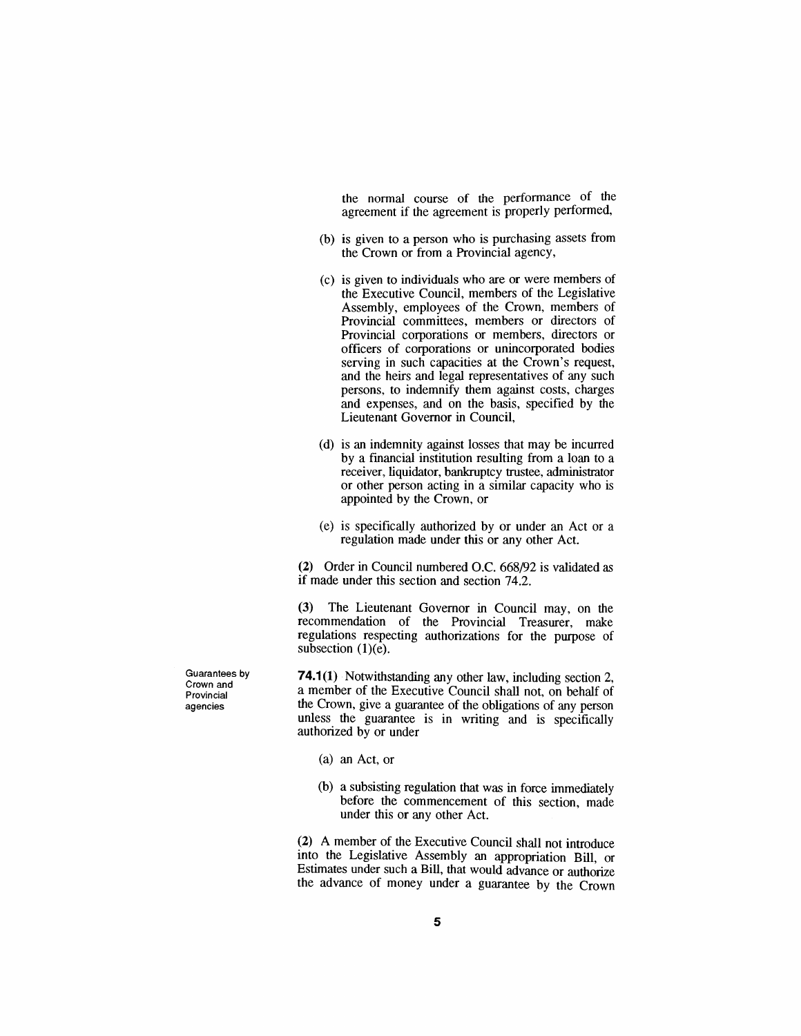*the normal course of the performance of the agreement if the agreement is properly performed,*

- *(b) is given to a person who is purchasing assets from the Crown or from a Provincial agency,*
- *(c) is given to individuals who are or were members of the Executive Council, members of the Legislative Assembly, employees of the Crown, members of Provincial committees, members or directors of Provincial corporations or members, directors or officers of corporations or unincorporated bodies serving in such capacities at the Crown's request, and the heirs and legal representatives of any such persons, to indemnify them against costs, charges and expenses, and on the basis, specified by the Lieutenant Governor in Council,*
- *(d) is an indemnity against losses that may be incurred by a financial institution resulting from a loan to a receiver, liquidator, bankruptcy trustee, administrator or other person acting in a similar capacity who is appointed by the Crown, or*
- *(e) is specifically authorized by or under an Act or a regulation made under this or any other Act.*

*(2) Order in Council numbered O.C. 668/92 is validated as if made under this section and section 74.2.*

*(3) The Lieutenant Governor in Council may, on the recommendation of the Provincial Treasurer, make regulations respecting authorizations for the purpose of subsection (1)(e).*

*74.1(1) Notwithstanding any other law, including section 2, a member of the Executive Council shall not, on behalf of the Crown, give a guarantee of the obligations of any person unless the guarantee is in writing and is specifically authorized by or under*

- *(a) an Act, or*
- *(b) a subsisting regulation that was in force immediately before the commencement of this section, made under this or any other Act.*

*(2) A member of the Executive Council shall not introduce into the Legislative Assembly an appropriation Bill, or Estimates under such a Bill, that would advance or authorize the advance of money under a guarantee by the Crown*

*Guarantees by Crown and Provincial agencies*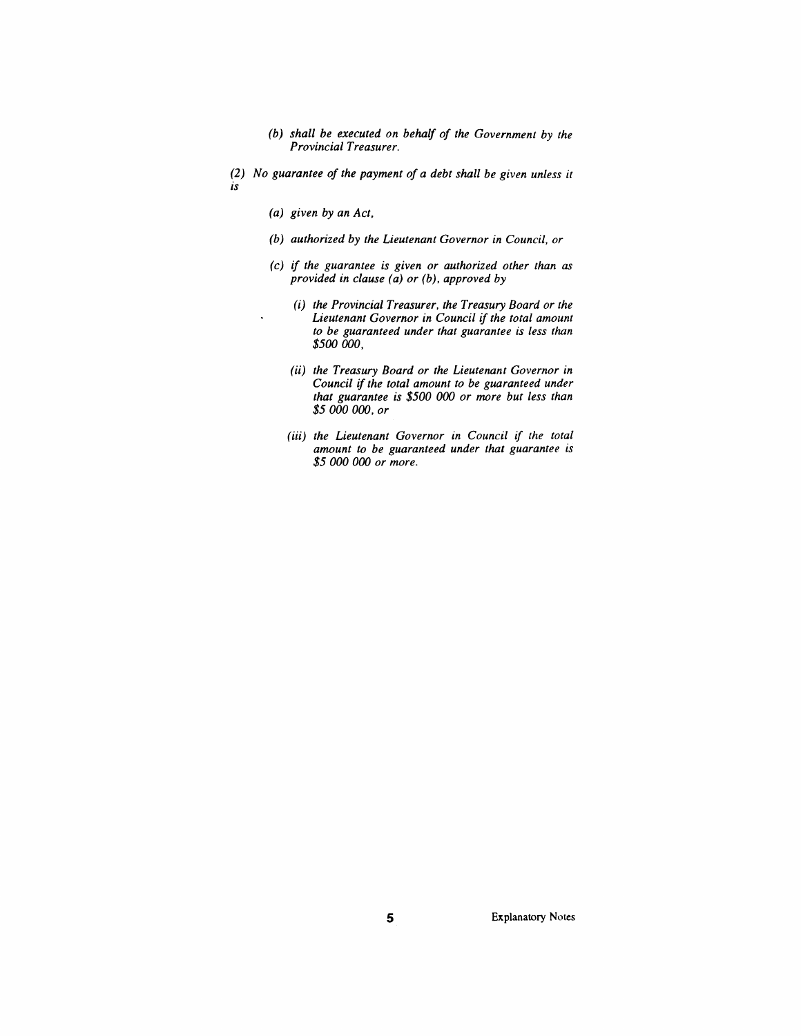- *(b) shall be executed on behalf of the Government by the Provincial Treasurer.*
- *(2) No guarantee of the payment of a debt shall be given unless it is*
	- *(a) given by an Act,*

 $\ddot{\phantom{a}}$ 

- *(b) authorized by the Lieutenant Governor in Council, or*
- *(c) if the guarantee is given or authorized other than as provided in clause (a) or (b), approved by*
	- *(i) the Provincial Treasurer, the Treasury Board or the Lieutenant Governor in Council if the total amount to be guaranteed under that guarantee is less than \$500 000,*
	- *(ii) the Treasury Board or the Lieutenant Governor in Council ifthe total amount to be guaranteed under that guarantee is \$500 000 or more but less than \$5 000 000, or*
	- *(iii) the Lieutenant Governor in Council if the total amount to be guaranteed under that guarantee is \$5 000 000 or more.*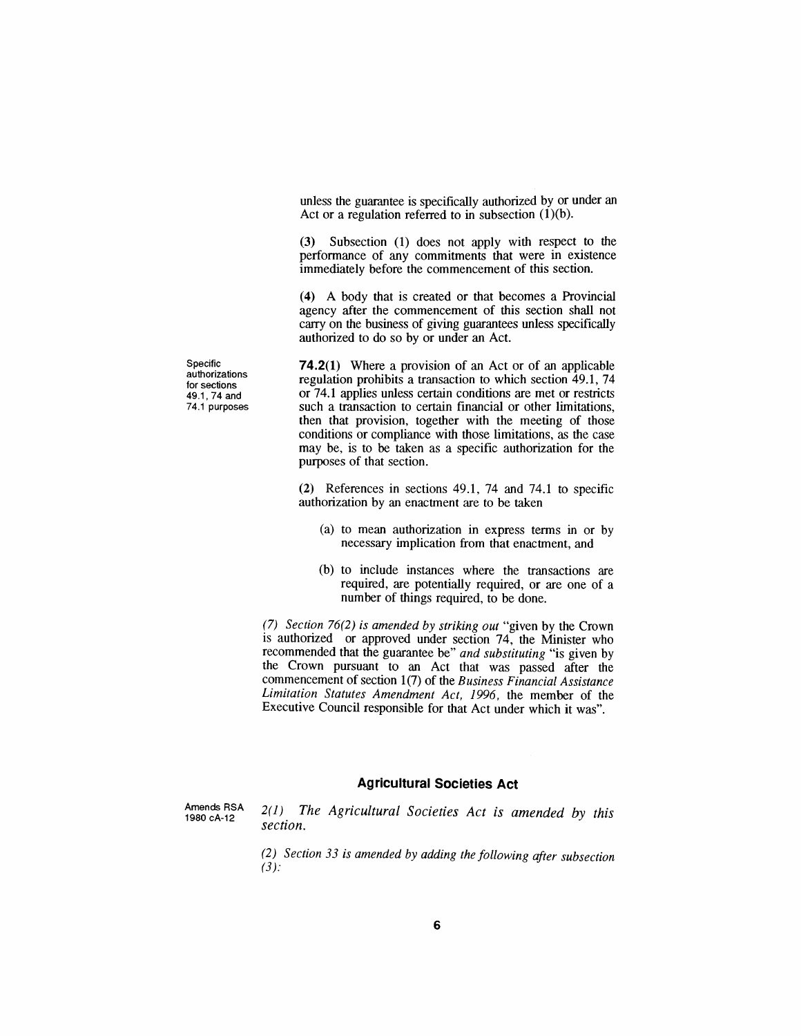*unless the guarantee is specifically authorized by or under an Act or a regulation referred to in subsection (1)(b).*

*(3) Subsection (1) does not apply with respect to the performance of any commitments that were in existence immediately before the commencement of this section.*

*(4) A body that is created or that becomes a Provincial agency after the commencement of this section shall not carry on the business of giving guarantees unless specifically authorized to do so by or under an Act.*

*74.2(1) Where a provision of an Act or of an applicable regulation prohibits a transaction to which section 49.1, 74 or 74.1 applies unless certain conditions are met or restricts such a transaction to certain financial or other limitations, then that provision, together with the meeting of those conditions or compliance with those limitations, as the case may be, is to be taken as a specific authorization for the purposes of that section.*

*(2) References in sections 49.1, 74 and 74.1 to specific authorization by an enactment are to be taken*

- *(a) to mean authorization in express terms in or by necessary implication from that enactment, and*
- *(b) to include instances where the transactions are required, are potentially required, or are one of a number of things required, to be done.*

*(7) Section 76(2) is amended by striking out "given by the Crown is authorized or approved under section 74, the Minister who recommended that the guarantee be" and substituting "is given by the Crown pursuant to an Act that was passed after the commencement of section 1(7) of the Business Financial Assistance Limitation Statutes Amendment Act, 1996, the member of the Executive Council responsible for that Act under which it was".*

#### *Agricultural Societies Act*

*Amends RSA 1980 cA-12*

*2(1) The Agricultural Societies Act is amended by this section.*

*(2) Section 33 is amended by adding the following after subsection (3):*

*Specific authorizations for sections 49.1, 74 and 74.<sup>1</sup> purposes*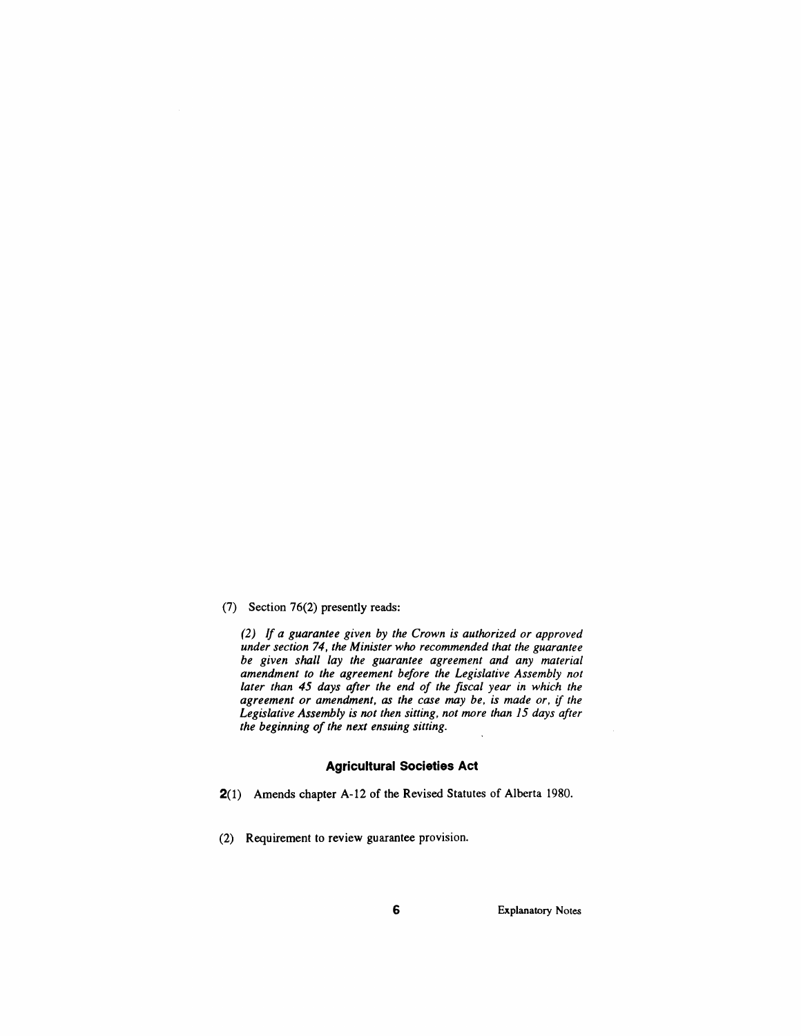#### *(7) Section 76(2) presently reads:*

*(2) If a guarantee given by the Crown is authorized or approved under section 74, the Minister who recommended that the guarantee be given shall lay the guarantee agreement and any material amendment to the agreement before the Legislative Assembly not later than 45 days after the end of the fiscal year in which the agreement or amendment, as the case may be, is made or, if the Legislative Assembly is not then sitting, not more than 15 days after the beginning of the next ensuing sitting.*

#### *Agricultural Societies Act*

*2(1) Amends chapter A-12 of the Revised Statutes of Alberta 1980.*

*(2) Requirement to review guarantee provision.*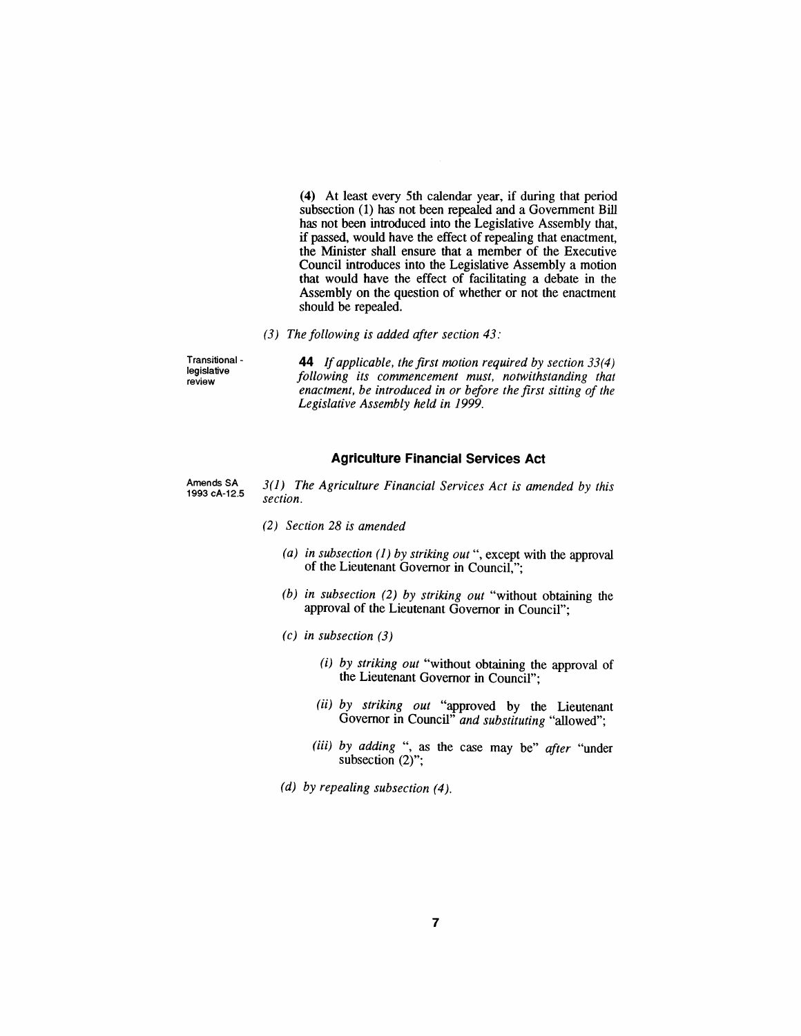*(4) At least every 5th calendar year, if during that period subsection (1) has not been repealed and a Government Bill has not been introduced into the Legislative Assembly that, if passed, would have the effect of repealing that enactment, the Minister shall ensure that a member of the Executive Council introduces into the Legislative Assembly a motion that would have the effect of facilitating a debate in the Assembly on the question of whether or not the enactment should be repealed.*

*(3) The following is added after section 43:*

*Transitional legislative review*

*44 Ifapplicable, the first motion required by section 33(4) following its commencement must, notwithstanding that enactment, be introduced in or before the first sitting of the Legislative Assembly held in 1999.*

#### *Agriculture Financial Services Act*

*Amends SA 1993 cA-12.5*

- *3(1) The Agriculture Financial Services Act is amended by this section.*
- *(2) Section 28 is amended*
	- *(a) in subsection (1) by striking out ", except with the approval of the Lieutenant Governor in Council,";*
	- *(b) in subsection (2) by striking out "without obtaining the approval of the Lieutenant Governor in Council";*
	- *(c) in subsection (3)*
		- *(i) by striking out "without obtaining the approval of the Lieutenant Governor in Council";*
		- *(ii) by striking out "approved by the Lieutenant Governor in Council" and substituting "allowed";*
		- *(iii) by adding ", as the case may be" after "under subsection (2)";*
	- *(d) by repealing subsection (4).*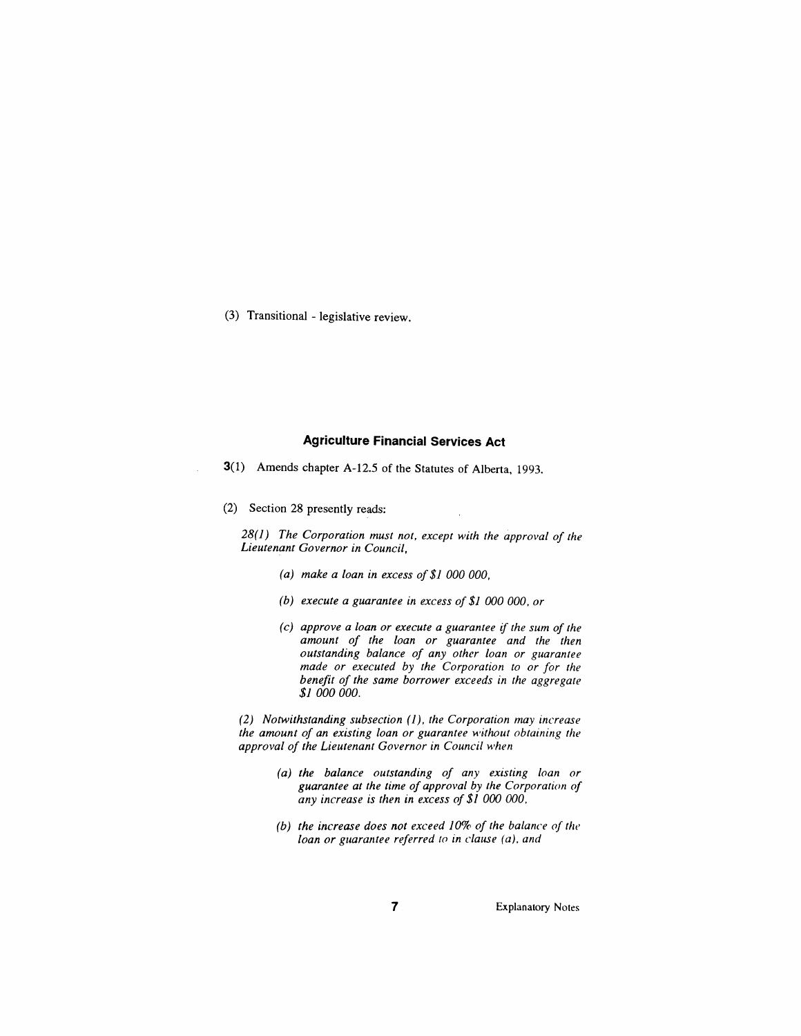*(3) Transitional - legislative review.*

### *Agriculture Financial Services Act*

*3(1) Amends chapter A-12.5 of the Statutes of Alberta, 1993.*

*(2) Section 28 presently reads:*

*28(1) The Corporation must not, except with the approval of the Lieutenant Governor in Council,*

- *(a) make a loan in excess of\$1 000 000,*
- *(b) execute a guarantee in excess of \$1 000 000, or*
- *(c) approve a loan or execute a guarantee if the sum of the amount of the loan or guarantee and the then outstanding balance of any other loan or guarantee made or executed by the Corporation to or for the benefit of the same borrower exceeds in the aggregate \$1 000 000.*

*(2) Notwithstanding subsection (1), the Corporation may increase the amount of an existing loan or guarantee without obtaining the approval of the Lieutenant Governor in Council when*

- *(a) the balance outstanding of any existing loan or guarantee at the time of approval by the Corporation of any increase is then in excess of \$1 000 000,*
- *(b) the increase does not exceed 10% of the balance of the loan or guarantee referred to in clause (a), and*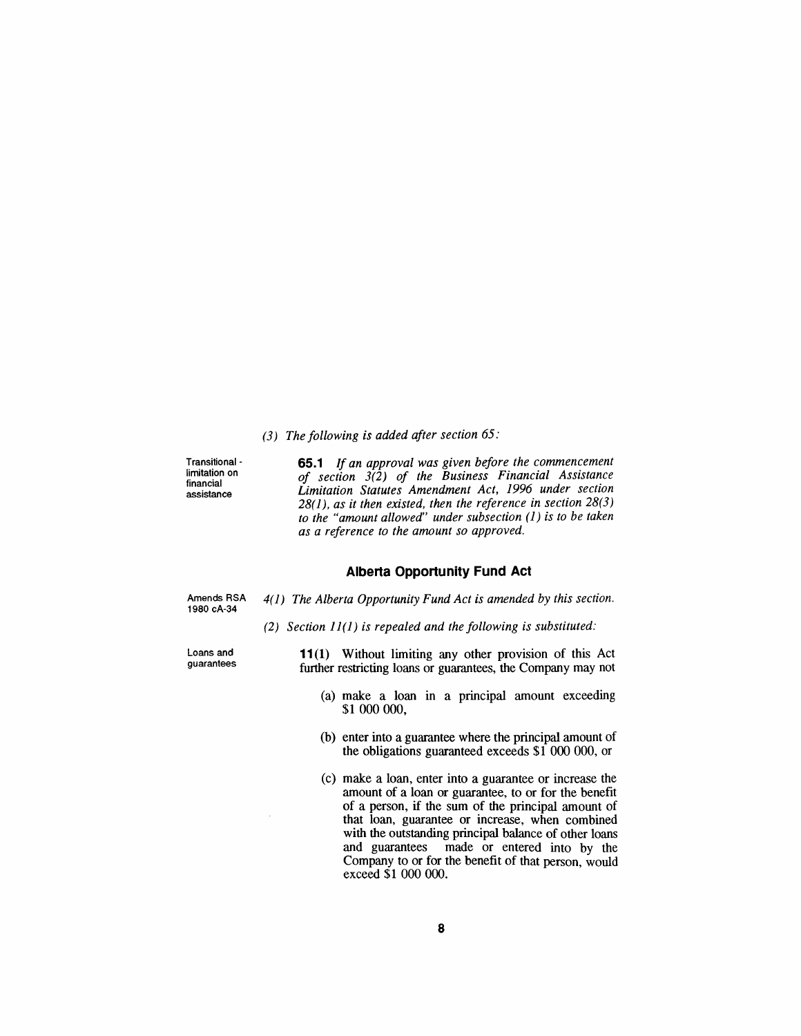*(3) The following is added after section 65:*

*Transitional limitation on financial assistance*

*65.1 If an approval was given before the commencement of section 3(2) of the Business Financial Assistance Limitation Statutes Amendment Act, 1996 under section 28(1), as it then existed, then the reference in section 28(3) to the "amount allowed" under subsection (1) is to be taken as a reference to the amount so approved.*

#### *Alberta Opportunity Fund Act*

*Amends RSA 1980 cA-34*

*4(1) The Alberta Opportunity Fund Act is amended by this section.*

*(2) Section 11(1) is repealed and the following is substituted:*

*Loans and guarantees* *11(1) Without limiting any other provision of this Act further restricting loans or guarantees, the Company may not*

- *(a) make a loan in a principal amount exceeding \$1 000 000,*
- *(b) enter into a guarantee where the principal amount of the obligations guaranteed exceeds \$1 000 000, or*
- *(c) make a loan, enter into a guarantee or increase the amount of a loan or guarantee, to or for the benefit of a person, if the sum of the principal amount of that loan, guarantee or increase, when combined with the outstanding principal balance of other loans and guarantees made or entered into by the Company to or for the benefit of that person, would exceed \$1 000 000.*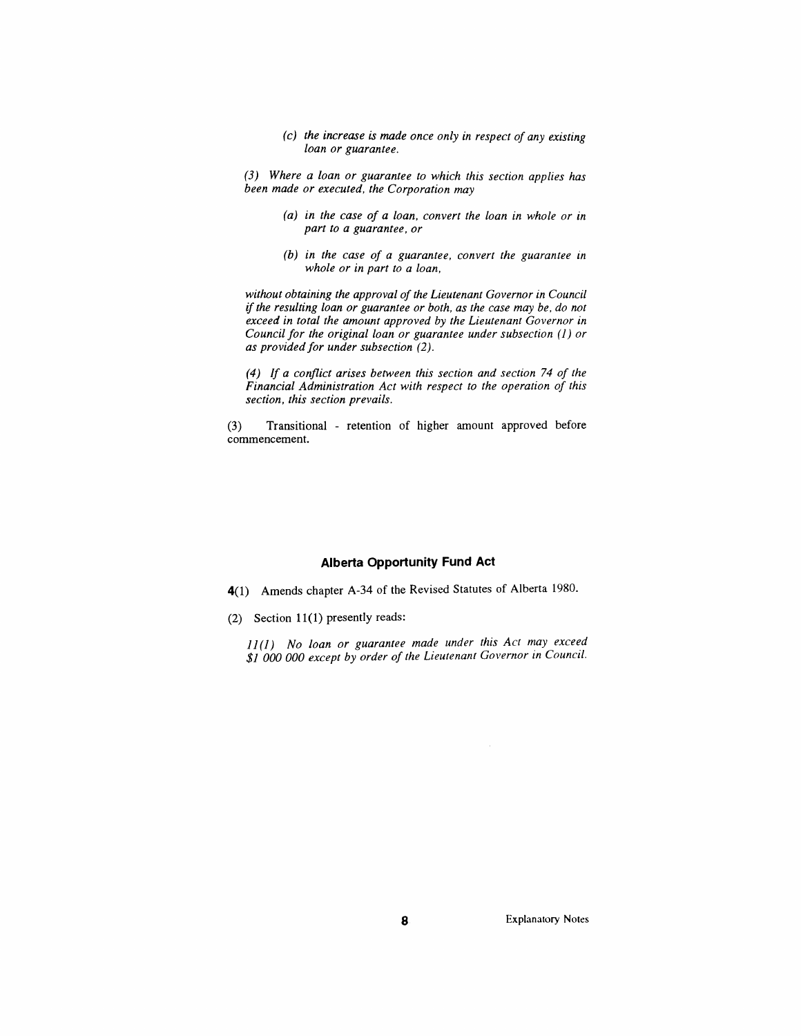*(c) the increase is made once only in respect of any existing loan or guarantee.*

*(3) Where a loan or guarantee to which this section applies has been made or executed, the Corporation may*

- *(a) in the case of a loan, convert the loan in whole or in part to a guarantee, or*
- *(b) in the case of a guarantee, convert the guarantee in whole or in part to a loan,*

*without obtaining the approval of the Lieutenant Governor in Council ifthe resulting loan or guarantee or both, as the case may be, do not exceed in total the amount approved by the Lieutenant Governor in Council for the original loan or guarantee under subsection (1) or as providedfor under subsection (2).*

*(4) If a conflict arises between this section and section 74 of the Financial Administration Act with respect to the operation of this section, this section prevails.*

*(3) Transitional - retention of higher amount approved before commencement.*

#### *Alberta Opportunity Fund Act*

*4(1) Amends chapter A-34 of the Revised Statutes of Alberta 1980.*

*(2) Section 11(1) presently reads:*

*11(1) No loan or guarantee made under this Act may exceed \$1 000 000 except by order of the Lieutenant Governor in Council.*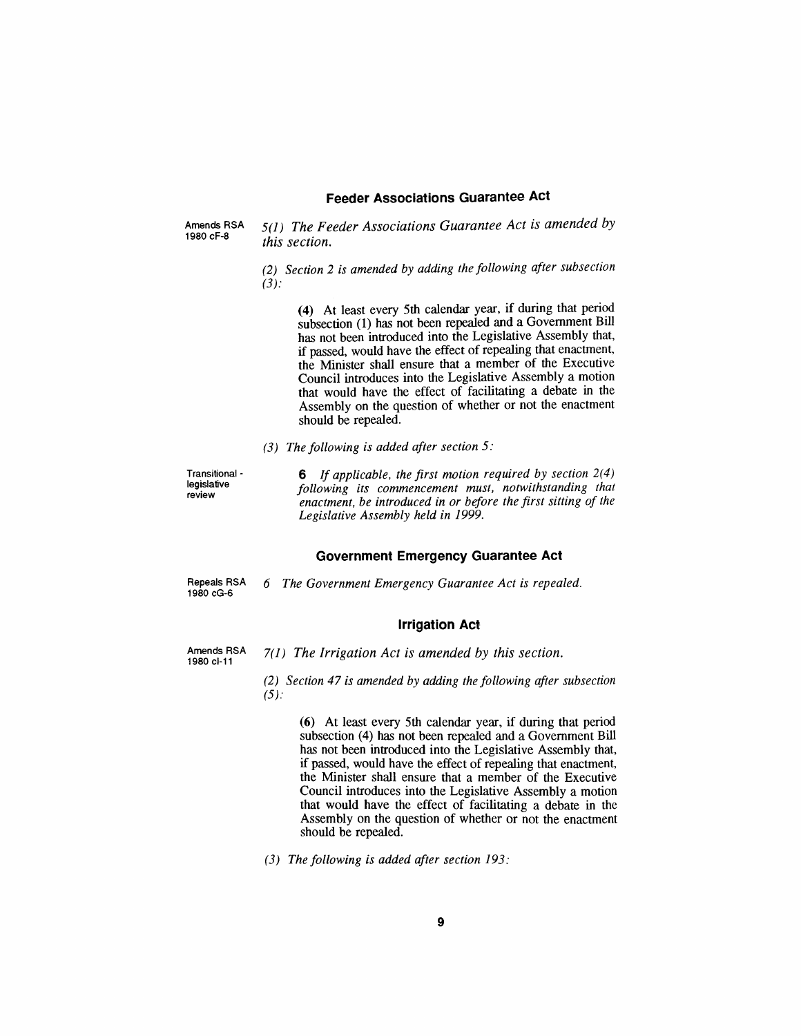#### *Feeder Associations Guarantee Act*

*Amends RSA 1980 cF-8*

*5(1) The Feeder Associations Guarantee Act is amended by this section.*

*(2) Section 2 is amended by adding the following after subsection (3):*

*(4) At least every 5th calendar year, if during that period subsection (1) has not been repealed and a Government Bill has not been introduced into the Legislative Assembly that, if passed, would have the effect of repealing that enactment, the Minister shall ensure that a member of the Executive Council introduces into the Legislative Assembly a motion that would have the effect of facilitating a debate in the Assembly on the question of whether or not the enactment should be repealed.*

*(3) The following is added after section 5:*

*Transitional legislative review*

*6 If applicable, the first motion required by section 2(4) following its commencement must, notwithstanding that enactment, be introduced in or before the first sitting of the Legislative Assembly held in 1999.*

#### *Government Emergency Guarantee Act*

*Repeals RSA 1980 cG-6*

*6 The Government Emergency Guarantee Act is repealed.*

*Irrigation Act*

*Amends RSA 1980 cl-11*

- *7(1) The Irrigation Act is amended by this section.*
	- *(2) Section 47 is amended by adding the following after subsection (5):*

*(6) At least every 5th calendar year, if during that period subsection (4) has not been repealed and a Government Bill has not been introduced into the Legislative Assembly that, if passed, would have the effect of repealing that enactment, the Minister shall ensure that a member of the Executive Council introduces into the Legislative Assembly a motion that would have the effect of facilitating a debate in the Assembly on the question of whether or not the enactment should be repealed.*

*(3) The following is added after section 193:*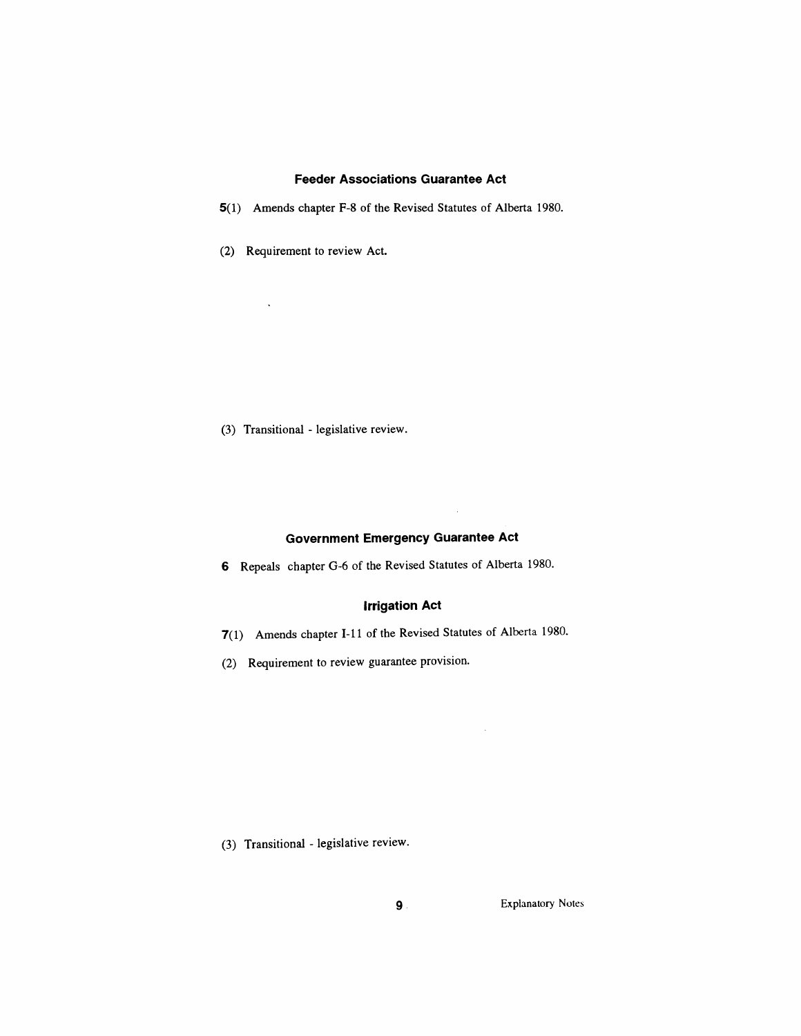#### *Feeder Associations Guarantee Act*

- *5(1) Amends chapter F-8 of the Revised Statutes of Alberta 1980.*
- *(2) Requirement to review Act.*

 $\ddot{\phantom{a}}$ 

*(3) Transitional - legislative review.*

#### *Government Emergency Guarantee Act*

 $\ddot{\phantom{a}}$ 

 $\sim$ 

*6 Repeals chapter G-6 of the Revised Statutes of Alberta 1980.*

## *irrigation Act*

- *7(1) Amends chapter I-11 of the Revised Statutes of Alberta 1980.*
- *(2) Requirement to review guarantee provision.*

*(3) Transitional - legislative review.*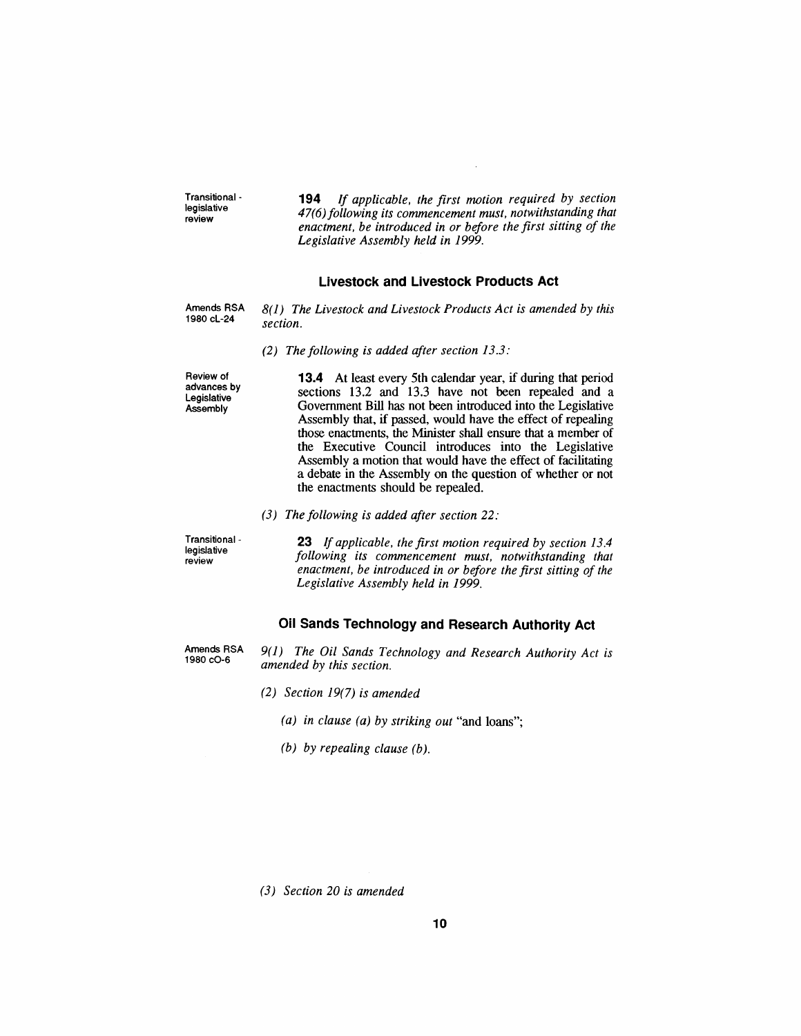*Transitional legislative review 194 If applicable, the first motion required by section 47(6)following its commencement must, notwithstanding that enactment, be introduced in or before the first sitting of the Legislative Assembly held in 1999.*

#### *Livestock and Livestock Products Act*

*Amends RSA 1980 cL-24*

- *8(1) The Livestock and Livestock Products Act is amended by this section.*
	- *(2) The following is added after section 13.3:*

*Review of advances by Legislative Assembly*

*13.4 At least every 5th calendar year, if during that period sections 13.2 and 13.3 have not been repealed and a Government Bill has not been introduced into the Legislative Assembly that, if passed, would have the effect of repealing those enactments, the Minister shall ensure that a member of the Executive Council introduces into the Legislative Assembly a motion that would have the effect of facilitating a debate in the Assembly on the question of whether or not the enactments should be repealed.*

*(3) The following is added after section 22:*

*Transitional legislative review*

*23 If applicable, the first motion required by section 13.4 following its commencement must, notwithstanding that enactment, be introduced in or before the first sitting of the Legislative Assembly held in 1999.*

### *Oil Sands Technology and Research Authority Act*

*Amends RSA 1980 cO-6*

*9(1) The Oil Sands Technology and Research Authority Act is amended by this section.*

*(2) Section 19(7) is amended*

- *(a) in clause (a) by striking out "and loans";*
- *(b) by repealing clause (b).*

*(3) Section 20 is amended*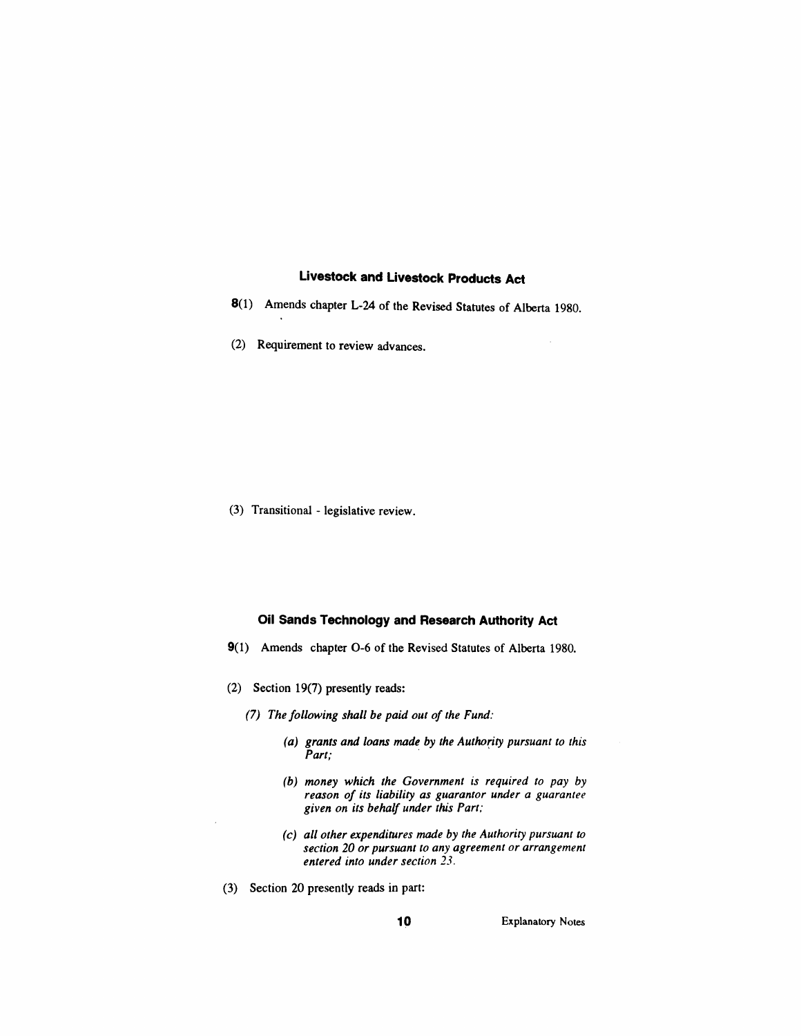### *Livestock and Livestock Products Act*

- *8(1) Amends chapter L-24 of the Revised Statutes of Alberta 1980.*
- *(2) Requirement to review advances.*

*(3) Transitional - legislative review.*

#### *Oil Sands Technology and Research Authority Act*

- *9(1) Amends chapter 0-6 of the Revised Statutes of Alberta 1980.*
- *(2) Section 19(7) presently reads:*
	- *(7) The following shall be paid out of the Fund:*
		- *(a) grants and loans made by the Authority pursuant to this Part;*
		- *(b) money which the Government is required to pay by reason of its liability as guarantor under a guarantee given on its behalf under this Part;*
		- *(c) all other expenditures made by the Authority pursuant to section 20 or pursuant to any agreement or arrangement entered into under section 23.*
- *(3) Section 20 presently reads in part:*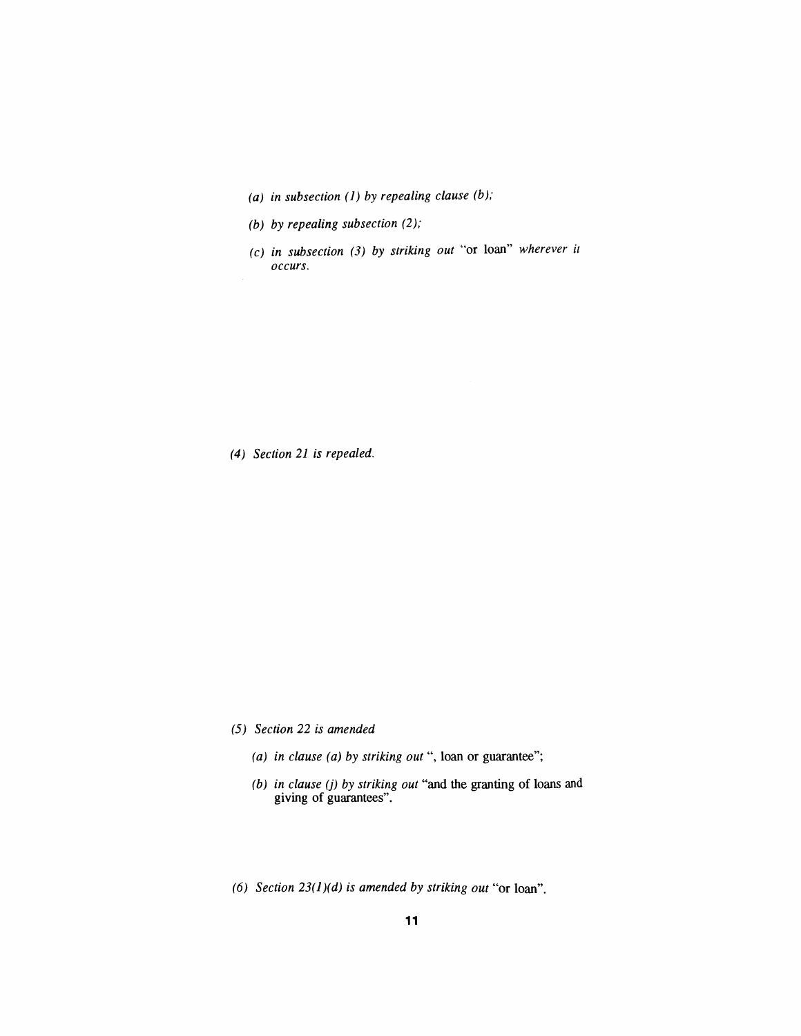- *(a) in subsection (1) by repealing clause (b);*
- *(b) by repealing subsection (2);*
- *(c) in subsection (3) by striking out "or loan" wherever it occurs.*

*(4) Section 21 is repealed.*

- *(5) Section 22 is amended*
	- *(a) in clause (a) by striking out ", loan or guarantee";*
	- *(b) in clause (j) by striking out "and the granting of loans and giving of guarantees".*
- *(6) Section 23(1)(d) is amended by striking out "or loan".*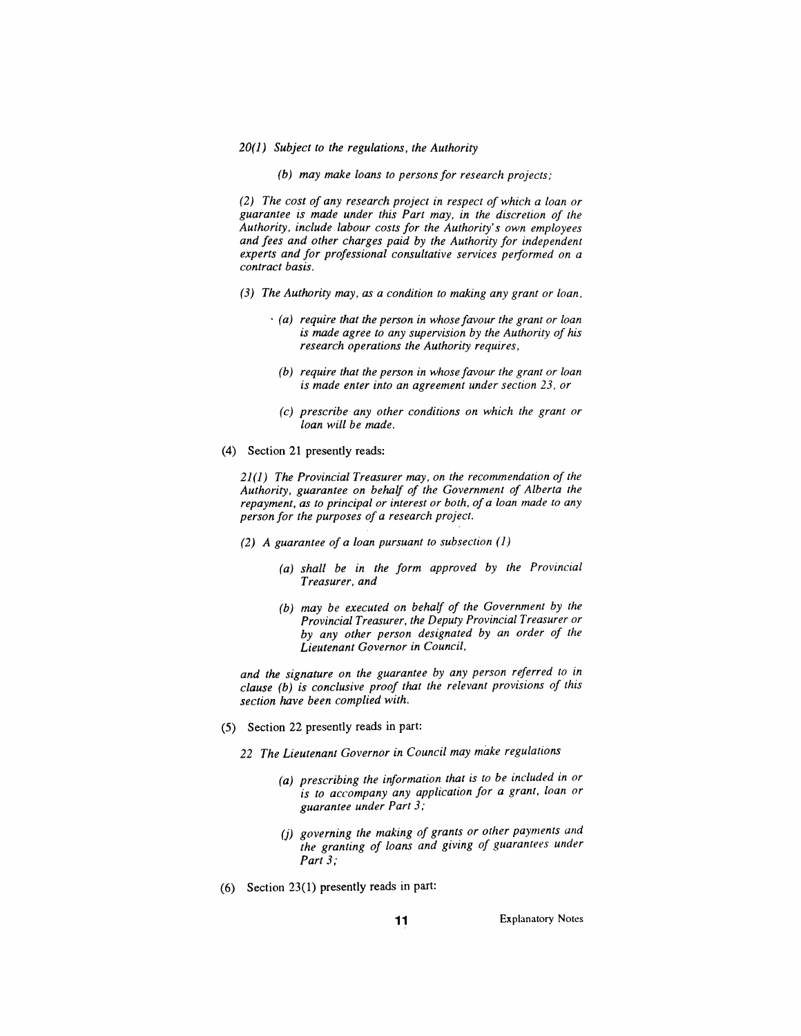#### *20(1) Subject to the regulations, the Authority*

*(b) may make loans to personsfor research projects;*

*(2) The cost of any research project in respect of which a loan or guarantee is made under this Part may, in the discretion of the Authority, include labour costs for the Authority's own employees and fees and other charges paid by the Authority for independent experts and for professional consultative services performed on a contract basis.*

- *(3) The Authority may, as a condition to making any grant or loan,*
	- *(a) require that the person in whose favour the grant or loan is made agree to any supervision by the Authority of his research operations the Authority requires,*
		- *(b) require that the person in whose favour the grant or loan is made enter into an agreement under section 23, or*
		- *(c) prescribe any other conditions on which the grant or loan will be made.*
- *(4) Section 21 presently reads:*

*21(1) The Provincial Treasurer may, on the recommendation of the Authority, guarantee on behalf of the Government of Alberta the repayment, as to principal or interest or both, of a loan made to any person for the purposes of a research project.*

- *(2) A guarantee of a loan pursuant to subsection (1)*
	- *(a) shall be in the form approved by the Provincial Treasurer, and*
	- *(b) may be executed on behalf of the Government by the Provincial Treasurer, the Deputy Provincial Treasurer or by any other person designated by an order of the Lieutenant Governor in Council,*

*and the signature on the guarantee by any person referred to in clause (b) is conclusive proof that the relevant provisions of this section have been complied with.*

- *(5) Section 22 presently reads in part:*
	- *22 The Lieutenant Governor in Council may make regulations*
		- *(a) prescribing the information that is to be included in or is to accompany any application for a grant, loan or guarantee under Part 3;*
		- *(j) governing the making of grants or other payments and the granting of loans and giving of guarantees under Part 3;*
- *(6) Section 23(1) presently reads in part:*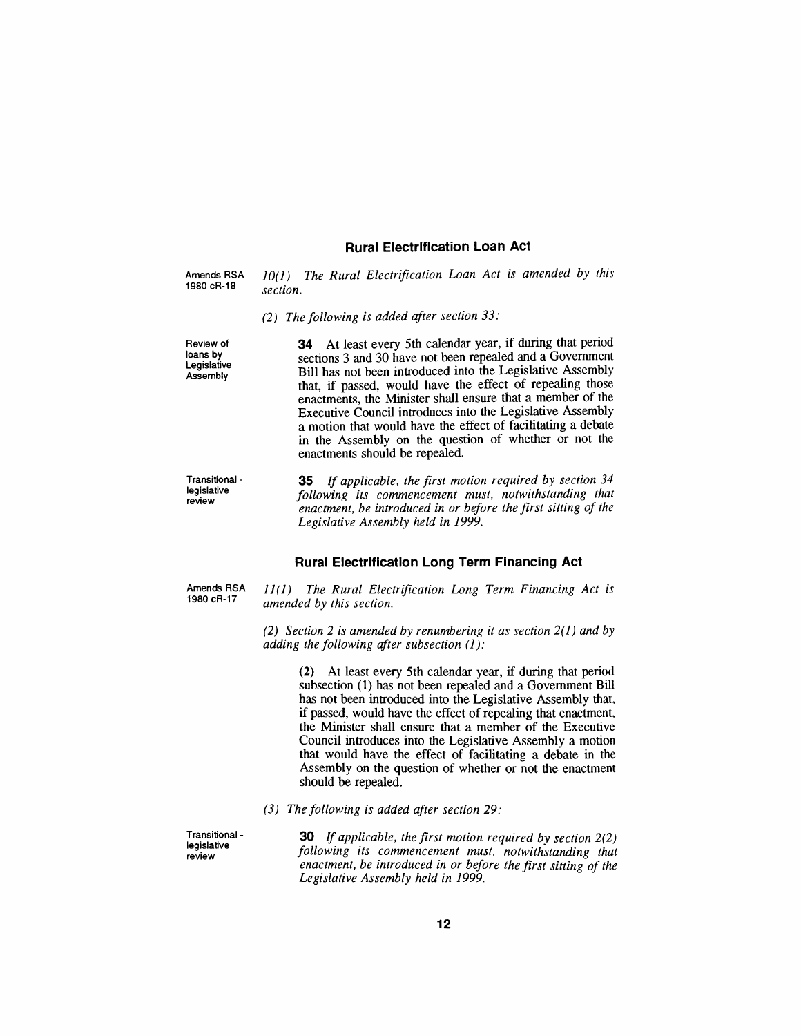#### *Rural Electrification Loan Act*

*Amends RSA 1980 cR-18*

*10(1) The Rural Electrification Loan Act is amended by this section.*

*(2) The following is added after section 33:*

*Review of loans by Legislative Assembly*

*34 At least every 5th calendar year, if during that period sections 3 and 30 have not been repealed and a Government Bill has not been introduced into the Legislative Assembly that, if passed, would have the effect of repealing those enactments, the Minister shall ensure that a member of the Executive Council introduces into the Legislative Assembly a motion that would have the effect of facilitating a debate in the Assembly on the question of whether or not the enactments should be repealed.*

| Transitional - |  |
|----------------|--|
| legislative    |  |
| review         |  |

*35 If applicable, the first motion required by section 34 following its commencement must, notwithstanding that enactment, be introduced in or before the first sitting of the Legislative Assembly held in 1999.*

#### *Rural Electrification Long Term Financing Act*

*Amends RSA 1980 cR-17*

*11(1) The Rural Electrification Long Term Financing Act is amended by this section.*

*(2) Section 2 is amended by renumbering it as section 2(1) and by adding the following after subsection (1):*

> *(2) At least every 5th calendar year, if during that period subsection (1) has not been repealed and a Government Bill has not been introduced into the Legislative Assembly that, if passed, would have the effect of repealing that enactment, the Minister shall ensure that a member of the Executive Council introduces into the Legislative Assembly a motion that would have the effect of facilitating a debate in the Assembly on the question of whether or not the enactment should be repealed.*

*(3) The following is added after section 29:*

*Transitional legislative review*

*30 If applicable, the first motion required by section 2(2) following its commencement must, notwithstanding that enactment, be introduced in or before the first sitting of the Legislative Assembly held in 1999.*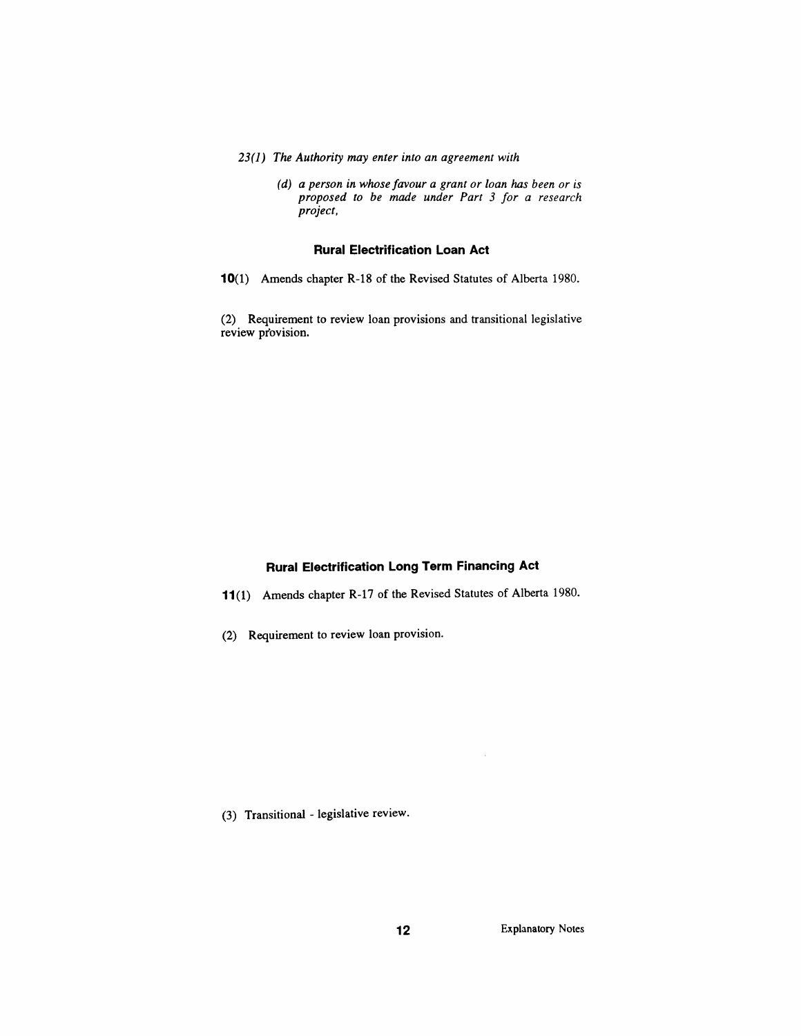- *23(1) The Authority may enter into an agreement with*
	- *(d) a person in whose favour a grant or loan has been or is proposed to be made under Part 3 for a research project,*

#### *Rural Electrification Loan Act*

*10(1) Amends chapter R-18 of the Revised Statutes of Alberta 1980.*

*(2) Requirement to review loan provisions and transitional legislative review provision.*

# *Rural Electrification Long Term Financing Act*

- *11(1) Amends chapter R-17 of the Revised Statutes of Alberta 1980.*
- *(2) Requirement to review loan provision.*

*(3) Transitional - legislative review.*

 $\bar{z}$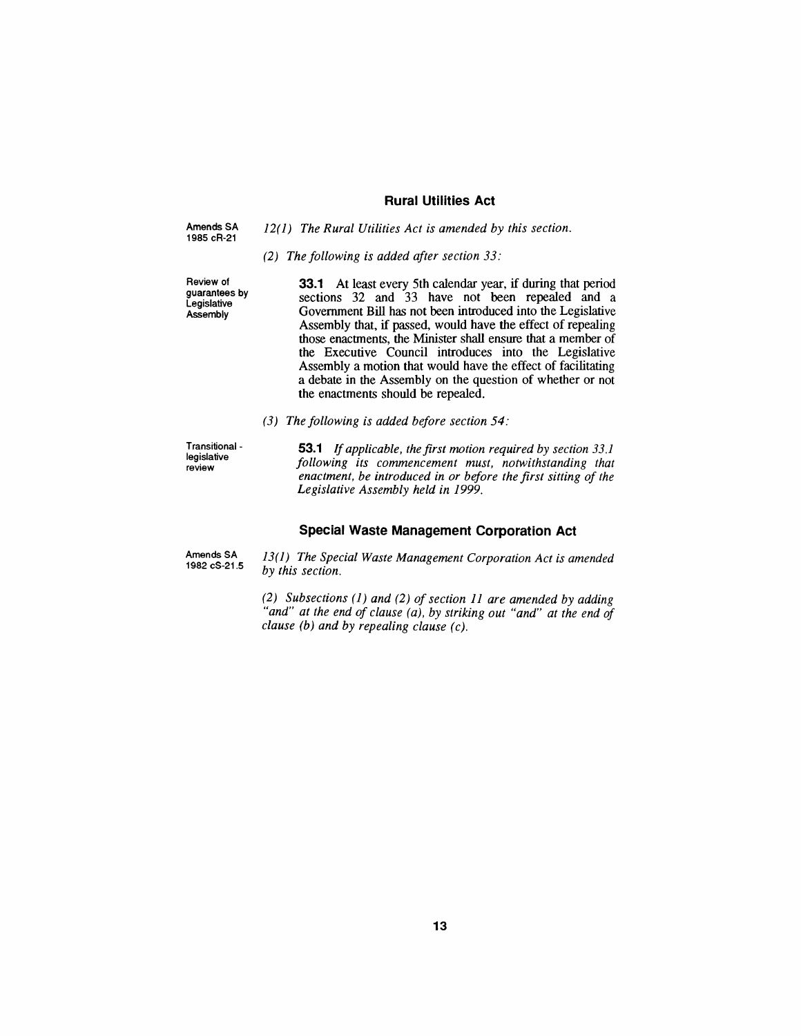#### *Rural Utilities Act*

| Amends SA<br>1985 cR-21 | $12(1)$ The Rural Utilities Act is amended by this section. |
|-------------------------|-------------------------------------------------------------|
|                         | (2) The following is added after section $33$ :             |

*Review of guarantees by Legislative Assembly*

*33.1 At least every 5th calendar year, if during that period sections 32 and 33 have not been repealed and a Government Bill has not been introduced into the Legislative Assembly that, if passed, would have the effect of repealing those enactments, the Minister shall ensure that a member of the Executive Council introduces into the Legislative Assembly a motion that would have the effect of facilitating a debate in the Assembly on the question of whether or not the enactments should be repealed.*

*(3) The following is added before section 54:*

*Transitional legislative review*

*53.1 If applicable, the first motion required by section 33.1 following its commencement must, notwithstanding that enactment, be introduced in or before the first sitting of the Legislative Assembly held in 1999.*

#### *Special Waste Management Corporation Act*

*Amends SA 1982 cS-21.5 13(1) The Special Waste Management Corporation Act is amended by this section.*

> *(2) Subsections (1) and (2) ofsection 11 are amended by adding "and" at the end of clause (a), by striking out "and" at the end of clause (b) and by repealing clause (c).*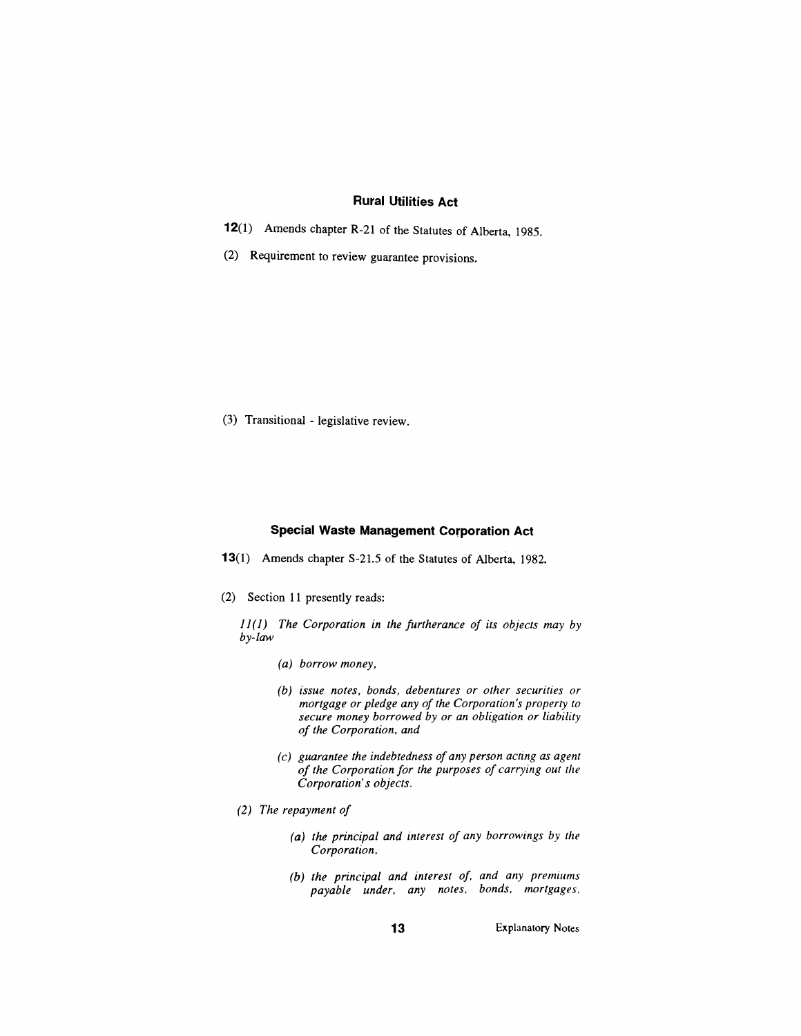#### *Rural Utilities Act*

- *12(1) Amends chapter R-21 of the Statutes of Alberta, 1985.*
- *(2) Requirement to review guarantee provisions.*

*(3) Transitional - legislative review.*

#### *Special Waste Management Corporation Act*

- *13(1) Amends chapter S-21.5 of the Statutes of Alberta, 1982.*
- *(2) Section 11 presently reads:*

*11(1) The Corporation in the furtherance of its objects may by by-law*

- *(a) borrow money,*
- *(b) issue notes, bonds, debentures or other securities or mortgage or pledge any of the Corporation's property to secure money borrowed by or an obligation or liability of the Corporation, and*
- *(c) guarantee the indebtedness of any person acting as agent of the Corporation for the purposes of carrying out the Corporation's objects.*
- *(2) The repayment of*
	- *(a) the principal and interest of any borrowings by the Corporation,*
	- *(b) the principal and interest of and any premiums payable under, any notes, bonds, mortgages.*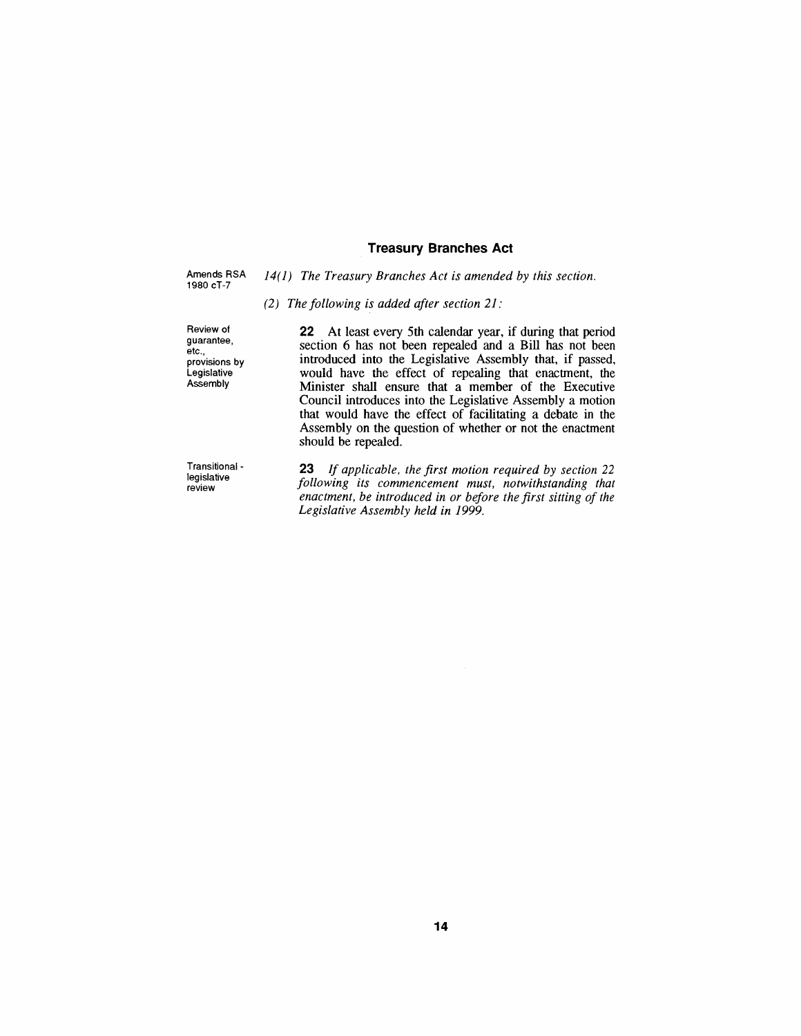#### *Treasury Branches Act*

*Amends RSA 1980 cT-7*

*14(1) The Treasury Branches Act is amended by this section.*

#### *(2) The following is added after section 21:*

*Review of guarantee, etc., provisions by Legislative Assembly*

*Transitional legislative review*

*22 At least every 5th calendar year, if during that period section 6 has not been repealed and a Bill has not been introduced into the Legislative Assembly that, if passed, would have the effect of repealing that enactment, the Minister shall ensure that a member of the Executive Council introduces into the Legislative Assembly a motion that would have the effect of facilitating a debate in the Assembly on the question of whether or not the enactment should be repealed.*

*23 If applicable, the first motion required by section <sup>22</sup> following its commencement must, notwithstanding that enactment, be introduced in or before the first sitting of the Legislative Assembly held in 1999.*